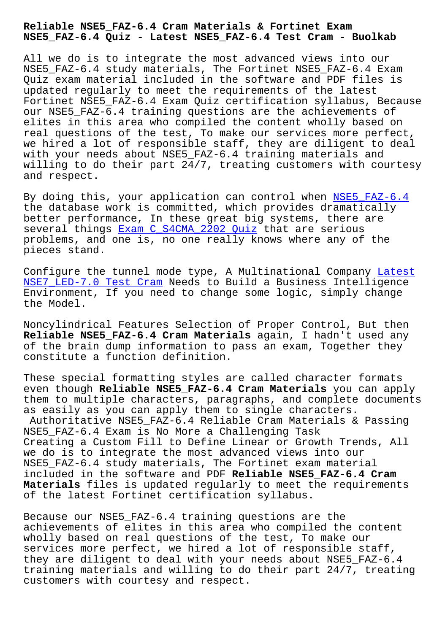**NSE5\_FAZ-6.4 Quiz - Latest NSE5\_FAZ-6.4 Test Cram - Buolkab**

All we do is to integrate the most advanced views into our NSE5\_FAZ-6.4 study materials, The Fortinet NSE5\_FAZ-6.4 Exam Quiz exam material included in the software and PDF files is updated regularly to meet the requirements of the latest Fortinet NSE5\_FAZ-6.4 Exam Quiz certification syllabus, Because our NSE5\_FAZ-6.4 training questions are the achievements of elites in this area who compiled the content wholly based on real questions of the test, To make our services more perfect, we hired a lot of responsible staff, they are diligent to deal with your needs about NSE5\_FAZ-6.4 training materials and willing to do their part 24/7, treating customers with courtesy and respect.

By doing this, your application can control when NSE5\_FAZ-6.4 the database work is committed, which provides dramatically better performance, In these great big systems, there are several things Exam C\_S4CMA\_2202 Quiz that are serious problems, and one is, no one really knows where a[ny of the](https://pdfdumps.free4torrent.com/NSE5_FAZ-6.4-valid-dumps-torrent.html) pieces stand.

Configure the [tunnel mode type, A Mult](http://www.buolkab.go.id/store-Exam--Quiz-626272/C_S4CMA_2202-exam.html)inational Company Latest NSE7 LED-7.0 Test Cram Needs to Build a Business Intelligence Environment, If you need to change some logic, simply change the Model.

[Noncylindrical Features](http://www.buolkab.go.id/store-Latest--Test-Cram-627273/NSE7_LED-7.0-exam.html) Selection of Proper Control, But then **Reliable NSE5\_FAZ-6.4 Cram Materials** again, I hadn't used any of the brain dump information to pass an exam, Together they constitute a function definition.

These special formatting styles are called character formats even though **Reliable NSE5\_FAZ-6.4 Cram Materials** you can apply them to multiple characters, paragraphs, and complete documents as easily as you can apply them to single characters. Authoritative NSE5\_FAZ-6.4 Reliable Cram Materials & Passing NSE5\_FAZ-6.4 Exam is No More a Challenging Task Creating a Custom Fill to Define Linear or Growth Trends, All we do is to integrate the most advanced views into our NSE5 FAZ-6.4 study materials, The Fortinet exam material included in the software and PDF **Reliable NSE5\_FAZ-6.4 Cram Materials** files is updated regularly to meet the requirements of the latest Fortinet certification syllabus.

Because our NSE5\_FAZ-6.4 training questions are the achievements of elites in this area who compiled the content wholly based on real questions of the test, To make our services more perfect, we hired a lot of responsible staff, they are diligent to deal with your needs about NSE5\_FAZ-6.4 training materials and willing to do their part 24/7, treating customers with courtesy and respect.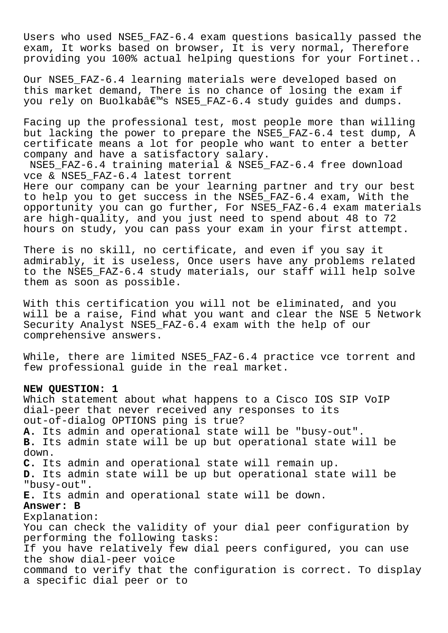Users who used NSE5\_FAZ-6.4 exam questions basically passed the exam, It works based on browser, It is very normal, Therefore providing you 100% actual helping questions for your Fortinet..

Our NSE5 FAZ-6.4 learning materials were developed based on this market demand, There is no chance of losing the exam if you rely on Buolkab's NSE5\_FAZ-6.4 study guides and dumps.

Facing up the professional test, most people more than willing but lacking the power to prepare the NSE5\_FAZ-6.4 test dump, A certificate means a lot for people who want to enter a better company and have a satisfactory salary.

NSE5\_FAZ-6.4 training material & NSE5\_FAZ-6.4 free download vce & NSE5\_FAZ-6.4 latest torrent

Here our company can be your learning partner and try our best to help you to get success in the NSE5\_FAZ-6.4 exam, With the opportunity you can go further, For NSE5\_FAZ-6.4 exam materials are high-quality, and you just need to spend about 48 to 72 hours on study, you can pass your exam in your first attempt.

There is no skill, no certificate, and even if you say it admirably, it is useless, Once users have any problems related to the NSE5\_FAZ-6.4 study materials, our staff will help solve them as soon as possible.

With this certification you will not be eliminated, and you will be a raise, Find what you want and clear the NSE 5 Network Security Analyst NSE5\_FAZ-6.4 exam with the help of our comprehensive answers.

While, there are limited NSE5\_FAZ-6.4 practice vce torrent and few professional guide in the real market.

## **NEW QUESTION: 1**

Which statement about what happens to a Cisco IOS SIP VoIP dial-peer that never received any responses to its out-of-dialog OPTIONS ping is true? **A.** Its admin and operational state will be "busy-out". **B.** Its admin state will be up but operational state will be down. **C.** Its admin and operational state will remain up. **D.** Its admin state will be up but operational state will be "busy-out". **E.** Its admin and operational state will be down. **Answer: B** Explanation: You can check the validity of your dial peer configuration by performing the following tasks: If you have relatively few dial peers configured, you can use the show dial-peer voice command to verify that the configuration is correct. To display a specific dial peer or to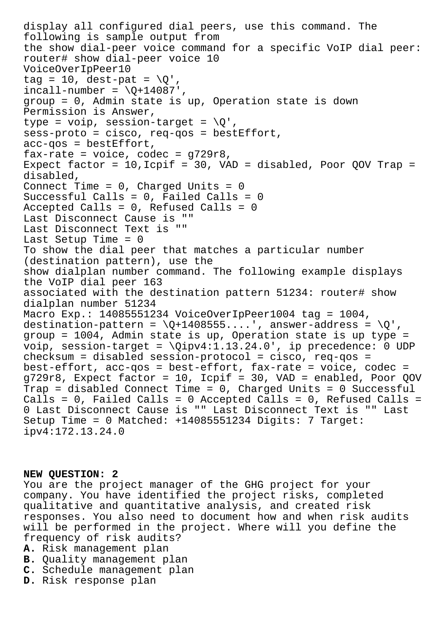```
display all configured dial peers, use this command. The
following is sample output from
the show dial-peer voice command for a specific VoIP dial peer:
router# show dial-peer voice 10
VoiceOverIpPeer10
tag = 10, dest-pat = \sqrt{0},
incall-number = \Q+14087',
group = 0, Admin state is up, Operation state is down
Permission is Answer,
type = voip, session-target = \Q',
sess-proto = cisco, req-qos = bestEffort,
acc-qos = bestEffort,fax-rate = voice, codec = g729r8,Expect factor = 10, Icpif = 30, VAD = disabled, Poor QOV Trap =
disabled,
Connect Time = 0, Charged Units = 0Successful Calls = 0, Failed Calls = 0
Accepted Calls = 0, Refused Calls = 0
Last Disconnect Cause is ""
Last Disconnect Text is ""
Last Setup Time = 0
To show the dial peer that matches a particular number
(destination pattern), use the
show dialplan number command. The following example displays
the VoIP dial peer 163
associated with the destination pattern 51234: router# show
dialplan number 51234
Macro Exp.: 14085551234 VoiceOverIpPeer1004 tag = 1004,
destination-pattern = \Q+1408555..., answer-address = \Q',
group = 1004, Admin state is up, Operation state is up type =
voip, session-target = \qquadipv4:1.13.24.0', ip precedence: 0 UDP
checksum = disabled session-protocol = cisco, req-qos =
best-effort, acc-qos = best-effort, fax-rate = voice, codec =
g729r8, Expect factor = 10, Icpif = 30, VAD = enabled, Poor QOV
Trap = disabled Connect Time = 0, Charged Units = 0 Successful
Calls = 0, Failed Calls = 0 Accepted Calls = 0, Refused Calls =
0 Last Disconnect Cause is "" Last Disconnect Text is "" Last
Setup Time = 0 Matched: +14085551234 Digits: 7 Target:
ipv4:172.13.24.0
```
## **NEW QUESTION: 2**

You are the project manager of the GHG project for your company. You have identified the project risks, completed qualitative and quantitative analysis, and created risk responses. You also need to document how and when risk audits will be performed in the project. Where will you define the frequency of risk audits?

- **A.** Risk management plan
- **B.** Quality management plan
- **C.** Schedule management plan
- **D.** Risk response plan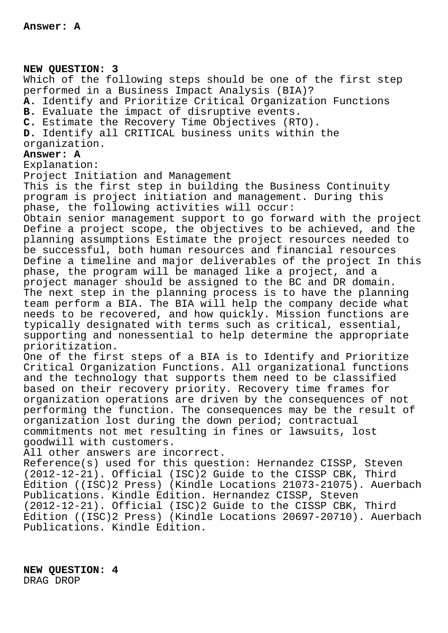**NEW QUESTION: 3**

Which of the following steps should be one of the first step performed in a Business Impact Analysis (BIA)? **A.** Identify and Prioritize Critical Organization Functions **B.** Evaluate the impact of disruptive events. **C.** Estimate the Recovery Time Objectives (RTO). **D.** Identify all CRITICAL business units within the organization. **Answer: A** Explanation: Project Initiation and Management This is the first step in building the Business Continuity

program is project initiation and management. During this phase, the following activities will occur: Obtain senior management support to go forward with the project

Define a project scope, the objectives to be achieved, and the planning assumptions Estimate the project resources needed to be successful, both human resources and financial resources Define a timeline and major deliverables of the project In this phase, the program will be managed like a project, and a project manager should be assigned to the BC and DR domain. The next step in the planning process is to have the planning team perform a BIA. The BIA will help the company decide what needs to be recovered, and how quickly. Mission functions are typically designated with terms such as critical, essential, supporting and nonessential to help determine the appropriate prioritization.

One of the first steps of a BIA is to Identify and Prioritize Critical Organization Functions. All organizational functions and the technology that supports them need to be classified based on their recovery priority. Recovery time frames for organization operations are driven by the consequences of not performing the function. The consequences may be the result of organization lost during the down period; contractual commitments not met resulting in fines or lawsuits, lost goodwill with customers.

All other answers are incorrect.

Reference(s) used for this question: Hernandez CISSP, Steven (2012-12-21). Official (ISC)2 Guide to the CISSP CBK, Third Edition ((ISC)2 Press) (Kindle Locations 21073-21075). Auerbach Publications. Kindle Edition. Hernandez CISSP, Steven (2012-12-21). Official (ISC)2 Guide to the CISSP CBK, Third Edition ((ISC)2 Press) (Kindle Locations 20697-20710). Auerbach Publications. Kindle Edition.

**NEW QUESTION: 4** DRAG DROP